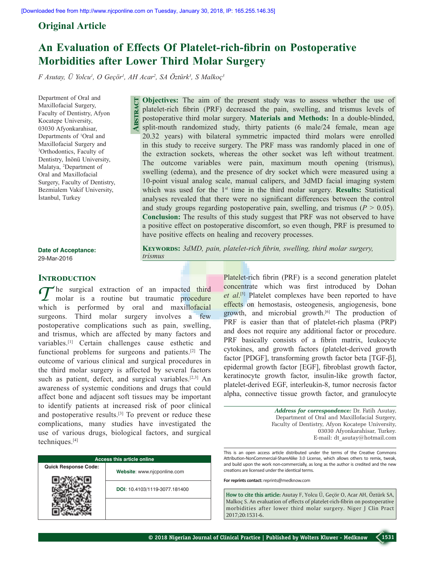# **Original Article**

# **An Evaluation of Effects Of Platelet‑rich‑fibrin on Postoperative Morbidities after Lower Third Molar Surgery**

*F Asutay, Ü Yolcu1 , O Geçör<sup>1</sup> , AH Acar2 , SA Öztürk3 , S Malkoç<sup>3</sup>*

**Abstract**

Department of Oral and Maxillofacial Surgery, Faculty of Dentistry, Afyon Kocatepe University, 03030 Afyonkarahisar, Departments of <sup>1</sup>Oral and Maxillofacial Surgery and 3 Orthodontics, Faculty of Dentistry, İnönü University, Malatya, 2 Department of Oral and Maxillofacial Surgery, Faculty of Dentistry, Bezmialem Vakif University, İstanbul, Turkey

**Objectives:** The aim of the present study was to assess whether the use of platelet-rich fibrin (PRF) decreased the pain, swelling, and trismus levels of postoperative third molar surgery. **Materials and Methods:** In a double‑blinded, split–mouth randomized study, thirty patients  $(6 \text{ male}/24 \text{ female})$ , mean age 20.32 years) with bilateral symmetric impacted third molars were enrolled in this study to receive surgery. The PRF mass was randomly placed in one of the extraction sockets, whereas the other socket was left without treatment. The outcome variables were pain, maximum mouth opening (trismus), swelling (edema), and the presence of dry socket which were measured using a 10‑point visual analog scale, manual calipers, and 3dMD facial imaging system which was used for the 1st time in the third molar surgery. **Results:** Statistical analyses revealed that there were no significant differences between the control and study groups regarding postoperative pain, swelling, and trismus ( $P > 0.05$ ). **Conclusion:** The results of this study suggest that PRF was not observed to have a positive effect on postoperative discomfort, so even though, PRF is presumed to have positive effects on healing and recovery processes.

#### **Date of Acceptance:** 29-Mar-2016

# **INTRODUCTION**

*T* he surgical extraction of an impacted third molar is a routine but traumatic procedure which is performed by oral and maxillofacial surgeons. Third molar surgery involves a few postoperative complications such as pain, swelling, and trismus, which are affected by many factors and variables.[1] Certain challenges cause esthetic and functional problems for surgeons and patients.[2] The outcome of various clinical and surgical procedures in the third molar surgery is affected by several factors such as patient, defect, and surgical variables.<sup>[2,3]</sup> An awareness of systemic conditions and drugs that could affect bone and adjacent soft tissues may be important to identify patients at increased risk of poor clinical and postoperative results.<sup>[3]</sup> To prevent or reduce these complications, many studies have investigated the use of various drugs, biological factors, and surgical techniques.[4]

| <b>Access this article online</b> |                               |  |  |
|-----------------------------------|-------------------------------|--|--|
| <b>Quick Response Code:</b>       | Website: www.njcponline.com   |  |  |
|                                   | DOI: 10.4103/1119-3077.181400 |  |  |
|                                   |                               |  |  |

KEYWORDS: 3dMD, pain, platelet-rich fibrin, swelling, third molar surgery, *trismus*

> Platelet-rich fibrin (PRF) is a second generation platelet concentrate which was first introduced by Dohan *et al*. [5] Platelet complexes have been reported to have effects on hemostasis, osteogenesis, angiogenesis, bone growth, and microbial growth.[6] The production of PRF is easier than that of platelet-rich plasma (PRP) and does not require any additional factor or procedure. PRF basically consists of a fibrin matrix, leukocyte cytokines, and growth factors (platelet‑derived growth factor [PDGF], transforming growth factor beta [TGF‑β], epidermal growth factor [EGF], fibroblast growth factor, keratinocyte growth factor, insulin-like growth factor, platelet‑derived EGF, interleukin‑8, tumor necrosis factor alpha, connective tissue growth factor, and granulocyte

> > *Address for correspondence:* Dr. Fatih Asutay, Department of Oral and Maxillofacial Surgery, Faculty of Dentistry, Afyon Kocatepe University, 03030 Afyonkarahisar, Turkey. E‑mail: dt\_asutay@hotmail.com

This is an open access article distributed under the terms of the Creative Commons Attribution-NonCommercial-ShareAlike 3.0 License, which allows others to remix, tweak, and build upon the work non-commercially, as long as the author is credited and the new creations are licensed under the identical terms.

**For reprints contact:** reprints@medknow.com

**How to cite this article:** Asutay F, Yolcu Ü, Geçör O, Acar AH, Öztürk SA, Malkoç S. An evaluation of effects of platelet-rich-fibrin on postoperative morbidities after lower third molar surgery. Niger J Clin Pract 2017;20:1531-6.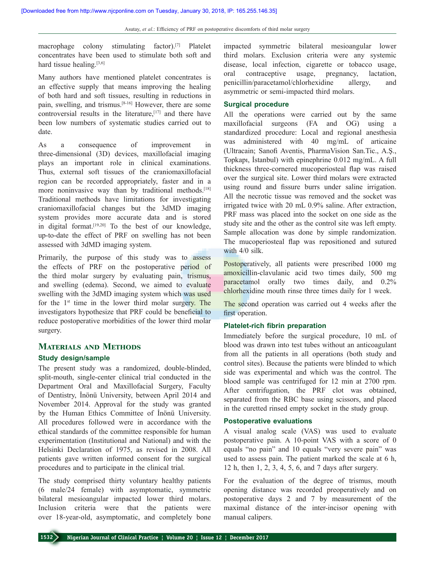macrophage colony stimulating factor).[7] Platelet concentrates have been used to stimulate both soft and hard tissue healing.<sup>[3,6]</sup>

Many authors have mentioned platelet concentrates is an effective supply that means improving the healing of both hard and soft tissues, resulting in reductions in pain, swelling, and trismus.<sup>[8-16]</sup> However, there are some controversial results in the literature,<sup>[17]</sup> and there have been low numbers of systematic studies carried out to date.

As a consequence of improvement in three‑dimensional (3D) devices, maxillofacial imaging plays an important role in clinical examinations. Thus, external soft tissues of the craniomaxillofacial region can be recorded appropriately, faster and in a more noninvasive way than by traditional methods.<sup>[18]</sup> Traditional methods have limitations for investigating craniomaxillofacial changes but the 3dMD imaging system provides more accurate data and is stored in digital format.[19,20] To the best of our knowledge, up‑to‑date the effect of PRF on swelling has not been assessed with 3dMD imaging system.

Primarily, the purpose of this study was to assess the effects of PRF on the postoperative period of the third molar surgery by evaluating pain, trismus, and swelling (edema). Second, we aimed to evaluate swelling with the 3dMD imaging system which was used for the  $1<sup>st</sup>$  time in the lower third molar surgery. The investigators hypothesize that PRF could be beneficial to reduce postoperative morbidities of the lower third molar surgery.

## **Materials and Methods**

## **Study design/sample**

The present study was a randomized, double-blinded, split-mouth, single-center clinical trial conducted in the Department Oral and Maxillofacial Surgery, Faculty of Dentistry, İnönü University, between April 2014 and November 2014. Approval for the study was granted by the Human Ethics Committee of İnönü University. All procedures followed were in accordance with the ethical standards of the committee responsible for human experimentation (Institutional and National) and with the Helsinki Declaration of 1975, as revised in 2008. All patients gave written informed consent for the surgical procedures and to participate in the clinical trial.

The study comprised thirty voluntary healthy patients (6 male/24 female) with asymptomatic, symmetric bilateral mesioangular impacted lower third molars. Inclusion criteria were that the patients were over 18‑year‑old, asymptomatic, and completely bone impacted symmetric bilateral mesioangular lower third molars. Exclusion criteria were any systemic disease, local infection, cigarette or tobacco usage, oral contraceptive usage, pregnancy, lactation, penicillin/paracetamol/chlorhexidine allergy, and asymmetric or semi‑impacted third molars.

#### **Surgical procedure**

All the operations were carried out by the same maxillofacial surgeons (FA and OG) using a standardized procedure: Local and regional anesthesia was administered with 40 mg/mL of articaine (Ultracain; Sanofi Aventis, PharmaVision San.Tic., A.Ş., Topkapı, İstanbul) with epinephrine 0.012 mg/mL. A full thickness three‑cornered mucoperiosteal flap was raised over the surgical site. Lower third molars were extracted using round and fissure burrs under saline irrigation. All the necrotic tissue was removed and the socket was irrigated twice with 20 mL 0.9% saline. After extraction, PRF mass was placed into the socket on one side as the study site and the other as the control site was left empty. Sample allocation was done by simple randomization. The mucoperiosteal flap was repositioned and sutured with 4/0 silk.

Postoperatively, all patients were prescribed 1000 mg amoxicillin‑clavulanic acid two times daily, 500 mg paracetamol orally two times daily, and 0.2% chlorhexidine mouth rinse three times daily for 1 week.

The second operation was carried out 4 weeks after the first operation.

# **Platelet‑rich fibrin preparation**

Immediately before the surgical procedure, 10 mL of blood was drawn into test tubes without an anticoagulant from all the patients in all operations (both study and control sites). Because the patients were blinded to which side was experimental and which was the control. The blood sample was centrifuged for 12 min at 2700 rpm. After centrifugation, the PRF clot was obtained, separated from the RBC base using scissors, and placed in the curetted rinsed empty socket in the study group.

# **Postoperative evaluations**

A visual analog scale (VAS) was used to evaluate postoperative pain. A 10‑point VAS with a score of 0 equals "no pain" and 10 equals "very severe pain" was used to assess pain. The patient marked the scale at 6 h, 12 h, then 1, 2, 3, 4, 5, 6, and 7 days after surgery.

For the evaluation of the degree of trismus, mouth opening distance was recorded preoperatively and on postoperative days 2 and 7 by measurement of the maximal distance of the inter-incisor opening with manual calipers.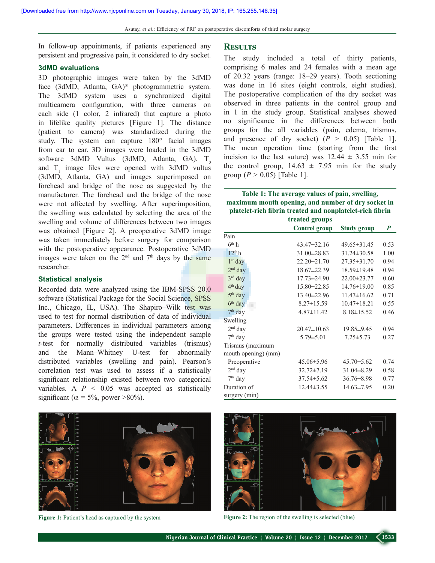In follow-up appointments, if patients experienced any persistent and progressive pain, it considered to dry socket.

# **3dMD evaluations**

3D photographic images were taken by the 3dMD face (3dMD, Atlanta, GA)® photogrammetric system. The 3dMD system uses a synchronized digital multicamera configuration, with three cameras on each side (1 color, 2 infrared) that capture a photo in lifelike quality pictures [Figure 1]. The distance (patient to camera) was standardized during the study. The system can capture 180° facial images from ear to ear. 3D images were loaded in the 3dMD software 3dMD Vultus (3dMD, Atlanta, GA).  $T_0$ and T<sub>1</sub> image files were opened with 3dMD vultus (3dMD, Atlanta, GA) and images superimposed on forehead and bridge of the nose as suggested by the manufacturer. The forehead and the bridge of the nose were not affected by swelling. After superimposition, the swelling was calculated by selecting the area of the swelling and volume of differences between two images was obtained [Figure 2]. A preoperative 3dMD image was taken immediately before surgery for comparison with the postoperative appearance. Postoperative 3dMD images were taken on the  $2<sup>nd</sup>$  and  $7<sup>th</sup>$  days by the same researcher.

#### **Statistical analysis**

Recorded data were analyzed using the IBM-SPSS 20.0 software (Statistical Package for the Social Science, SPSS Inc., Chicago, IL, USA). The Shapiro–Wilk test was used to test for normal distribution of data of individual parameters. Differences in individual parameters among the groups were tested using the independent sample *t*‑test for normally distributed variables (trismus) and the Mann–Whitney U‑test for abnormally distributed variables (swelling and pain). Pearson's correlation test was used to assess if a statistically significant relationship existed between two categorical variables. A  $P \leq 0.05$  was accepted as statistically significant ( $\alpha = 5\%$ , power >80%).



# **Results**

The study included a total of thirty patients, comprising 6 males and 24 females with a mean age of 20.32 years (range: 18–29 years). Tooth sectioning was done in 16 sites (eight controls, eight studies). The postoperative complication of the dry socket was observed in three patients in the control group and in 1 in the study group. Statistical analyses showed no significance in the differences between both groups for the all variables (pain, edema, trismus, and presence of dry socket)  $(P > 0.05)$  [Table 1]. The mean operation time (starting from the first incision to the last suture) was  $12.44 \pm 3.55$  min for the control group,  $14.63 \pm 7.95$  min for the study group ( $P > 0.05$ ) [Table 1].

# **Table 1: The average values of pain, swelling, maximum mouth opening, and number of dry socket in platelet‑rich fibrin treated and nonplatelet‑rich fibrin**

| treated groups      |                      |                    |                  |
|---------------------|----------------------|--------------------|------------------|
|                     | <b>Control group</b> | <b>Study group</b> | $\boldsymbol{P}$ |
| Pain                |                      |                    |                  |
| 6 <sup>th</sup> h   | $43.47 \pm 32.16$    | $49.65 \pm 31.45$  | 0.53             |
| 12 <sup>th</sup> h  | $31.00 \pm 28.83$    | $31.24 \pm 30.58$  | 1.00             |
| $1st$ day           | $22.20 \pm 21.70$    | $27.35 \pm 31.70$  | 0.94             |
| $2nd$ day           | $18.67 \pm 22.39$    | 18.59±19.48        | 0.94             |
| $3rd$ day           | $17.73 \pm 24.90$    | $22.00 \pm 23.77$  | 0.60             |
| 4 <sup>th</sup> day | $15.80 \pm 22.85$    | $14.76 \pm 19.00$  | 0.85             |
| 5 <sup>th</sup> day | 13.40±22.96          | $11.47 \pm 16.62$  | 0.71             |
| $6th$ day           | $8.27 \pm 15.59$     | $10.47 \pm 18.21$  | 0.55             |
| $7th$ day           | $4.87 \pm 11.42$     | $8.18 \pm 15.52$   | 0.46             |
| Swelling            |                      |                    |                  |
| $2nd$ day           | $20.47 \pm 10.63$    | 19.85 ± 9.45       | 0.94             |
| $7th$ day           | $5.79 \pm 5.01$      | $7.25 \pm 5.73$    | 0.27             |
| Trismus (maximum    |                      |                    |                  |
| mouth opening) (mm) |                      |                    |                  |
| Preoperative        | $45.06 \pm 5.96$     | $45.70 \pm 5.62$   | 0.74             |
| $2nd$ day           | $32.72 \pm 7.19$     | $31.04 \pm 8.29$   | 0.58             |
| $7th$ day           | $37.54 \pm 5.62$     | $36.76 \pm 8.98$   | 0.77             |
| Duration of         | $12.44\pm3.55$       | $14.63 \pm 7.95$   | 0.20             |
| surgery (min)       |                      |                    |                  |



**Figure** 1: Patient's head as captured by the system **Figure** 2: The region of the swelling is selected (blue)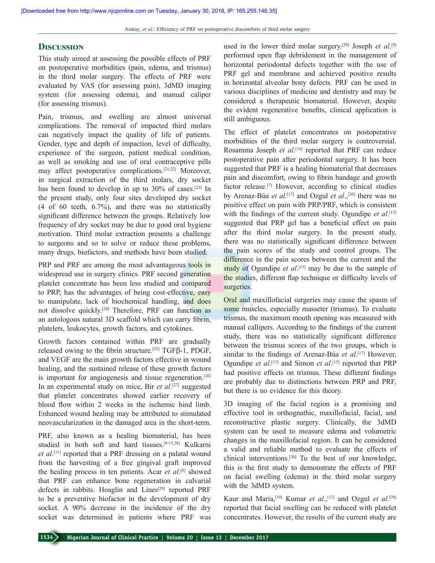# **Discussion**

This study aimed at assessing the possible effects of PRF on postoperative morbidities (pain, edema, and trismus) in the third molar surgery. The effects of PRF were evaluated by VAS (for assessing pain), 3dMD imaging system (for assessing edema), and manual caliper (for assessing trismus).

Pain, trismus, and swelling are almost universal complications. The removal of impacted third molars can negatively impact the quality of life of patients. Gender, type and depth of impaction, level of difficulty, experience of the surgeon, patient medical condition, as well as smoking and use of oral contraceptive pills may affect postoperative complications.[21,22] Moreover, in surgical extraction of the third molars, dry socket has been found to develop in up to 30% of cases.<sup>[23]</sup> In the present study, only four sites developed dry socket (4 of 60 teeth, 6.7%), and there was no statistically significant difference between the groups. Relatively low frequency of dry socket may be due to good oral hygiene motivation. Third molar extraction presents a challenge to surgeons and so to solve or reduce these problems, many drugs, biofactors, and methods have been studied.

PRP and PRF are among the most advantageous tools in widespread use in surgery clinics. PRF second generation platelet concentrate has been less studied and compared to PRP, has the advantages of being cost-effective, easy to manipulate, lack of biochemical handling, and does not dissolve quickly.[24] Therefore, PRF can function as an autologous natural 3D scaffold which can carry fibrin, platelets, leukocytes, growth factors, and cytokines.

Growth factors contained within PRF are gradually released owing to the fibrin structure.<sup>[25]</sup> TGFβ-1, PDGF, and VEGF are the main growth factors effective in wound healing, and the sustained release of these growth factors is important for angiogenesis and tissue regeneration.<sup>[26]</sup> In an experimental study on mice, Bir *et al*. [27] suggested that platelet concentrates showed earlier recovery of blood flow within 2 weeks in the ischemic hind limb. Enhanced wound healing may be attributed to stimulated neovascularization in the damaged area in the short-term.

PRF, also known as a healing biomaterial, has been studied in both soft and hard tissues.<sup>[8-15,28]</sup> Kulkarni *et al*. [11] reported that a PRF dressing on a palatal wound from the harvesting of a free gingival graft improved the healing process in ten patients. Acar *et al*. [8] showed that PRF can enhance bone regeneration in calvarial defects in rabbits. Hoaglin and Lines<sup>[29]</sup> reported PRF to be a preventive biofactor in the development of dry socket. A 90% decrease in the incidence of the dry socket was determined in patients where PRF was

used in the lower third molar surgery.<sup>[29]</sup> Joseph *et al*.<sup>[9]</sup> performed open flap debridement in the management of horizontal periodontal defects together with the use of PRF gel and membrane and achieved positive results in horizontal alveolar bony defects. PRF can be used in various disciplines of medicine and dentistry and may be considered a therapeutic biomaterial. However, despite the evident regenerative benefits, clinical application is still ambiguous.

The effect of platelet concentrates on postoperative morbidities of the third molar surgery is controversial. Rosamma Joseph *et al*. [14] reported that PRF can reduce postoperative pain after periodontal surgery. It has been suggested that PRF is a healing biomaterial that decreases pain and discomfort, owing to fibrin bandage and growth factor release.[7] However, according to clinical studies by Arenaz‑Búa *et al*. [17] and Ozgul *et al*.,[20] there was no positive effect on pain with PRP/PRF, which is consistent with the findings of the current study. Ogundipe *et al*. [13] suggested that PRP gel has a beneficial effect on pain after the third molar surgery. In the present study, there was no statistically significant difference between the pain scores of the study and control groups. The difference in the pain scores between the current and the study of Ogundipe *et al*. [13] may be due to the sample of the studies, different flap technique or difficulty levels of surgeries.

Oral and maxillofacial surgeries may cause the spasm of some muscles, especially masseter (trismus). To evaluate trismus, the maximum mouth opening was measured with manual callipers. According to the findings of the current study, there was no statistically significant difference between the trismus scores of the two groups, which is similar to the findings of Arenaz‑Búa *et al*. [17] However, Ogundipe *et al*. [13] and Simon *et al*. [15] reported that PRP had positive effects on trismus. These different findings are probably due to distinctions between PRP and PRF, but there is no evidence for this theory.

3D imaging of the facial region is a promising and effective tool in orthognathic, maxillofacial, facial, and reconstructive plastic surgery. Clinically, the 3dMD system can be used to measure edema and volumetric changes in the maxillofacial region. It can be considered a valid and reliable method to evaluate the effects of clinical interventions.[30] To the best of our knowledge, this is the first study to demonstrate the effects of PRF on facial swelling (edema) in the third molar surgery with the 3dMD system.

Kaur and Maria,[10] Kumar *et al*.,[12] and Ozgul *et al*. [20] reported that facial swelling can be reduced with platelet concentrates. However, the results of the current study are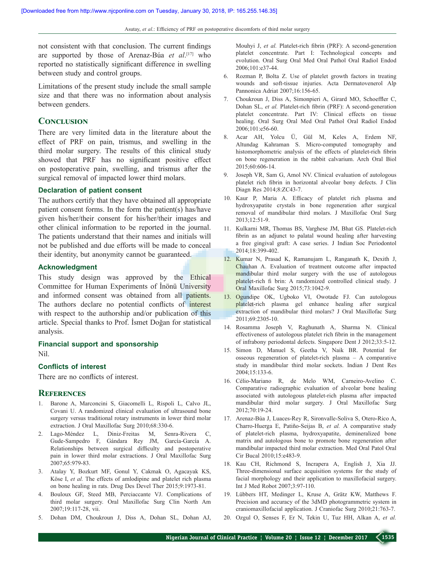not consistent with that conclusion. The current findings are supported by those of Arenaz‑Búa *et al*. [17] who reported no statistically significant difference in swelling between study and control groups.

Limitations of the present study include the small sample size and that there was no information about analysis between genders.

# **Conclusion**

There are very limited data in the literature about the effect of PRF on pain, trismus, and swelling in the third molar surgery. The results of this clinical study showed that PRF has no significant positive effect on postoperative pain, swelling, and trismus after the surgical removal of impacted lower third molars.

# **Declaration of patient consent**

The authors certify that they have obtained all appropriate patient consent forms. In the form the patient(s) has/have given his/her/their consent for his/her/their images and other clinical information to be reported in the journal. The patients understand that their names and initials will not be published and due efforts will be made to conceal their identity, but anonymity cannot be guaranteed.

## **Acknowledgment**

This study design was approved by the Ethical Committee for Human Experiments of İnönü University and informed consent was obtained from all patients. The authors declare no potential conflicts of interest with respect to the authorship and/or publication of this article. Special thanks to Prof. İsmet Doğan for statistical analysis.

#### **Financial support and sponsorship**

Nil.

#### **Conflicts of interest**

There are no conflicts of interest.

#### **References**

- 1. Barone A, Marconcini S, Giacomelli L, Rispoli L, Calvo JL, Covani U. A randomized clinical evaluation of ultrasound bone surgery versus traditional rotary instruments in lower third molar extraction. J Oral Maxillofac Surg 2010;68:330-6.
- 2. Lago‑Méndez L, Diniz‑Freitas M, Senra‑Rivera C, Gude‑Sampedro F, Gándara Rey JM, García‑García A. Relationships between surgical difficulty and postoperative pain in lower third molar extractions. J Oral Maxillofac Surg 2007;65:979‑83.
- 3. Atalay Y, Bozkurt MF, Gonul Y, Cakmak O, Agacayak KS, Köse I, *et al.* The effects of amlodipine and platelet rich plasma on bone healing in rats. Drug Des Devel Ther 2015;9:1973‑81.
- 4. Bouloux GF, Steed MB, Perciaccante VJ. Complications of third molar surgery. Oral Maxillofac Surg Clin North Am 2007;19:117‑28, vii.
- 5. Dohan DM, Choukroun J, Diss A, Dohan SL, Dohan AJ,

Mouhyi J, et al. Platelet-rich fibrin (PRF): A second-generation platelet concentrate. Part I: Technological concepts and evolution. Oral Surg Oral Med Oral Pathol Oral Radiol Endod 2006;101:e37‑44.

- 6. Rozman P, Bolta Z. Use of platelet growth factors in treating wounds and soft-tissue injuries. Acta Dermatovenerol Alp Pannonica Adriat 2007;16:156‑65.
- 7. Choukroun J, Diss A, Simonpieri A, Girard MO, Schoeffler C, Dohan SL, *et al.* Platelet-rich fibrin (PRF): A second-generation platelet concentrate. Part IV: Clinical effects on tissue healing. Oral Surg Oral Med Oral Pathol Oral Radiol Endod 2006;101:e56‑60.
- 8. Acar AH, Yolcu Ü, Gül M, Keles A, Erdem NF, Altundag Kahraman S. Micro‑computed tomography and histomorphometric analysis of the effects of platelet-rich fibrin on bone regeneration in the rabbit calvarium. Arch Oral Biol 2015;60:606‑14.
- 9. Joseph VR, Sam G, Amol NV. Clinical evaluation of autologous platelet rich fibrin in horizontal alveolar bony defects. J Clin Diagn Res 2014;8:ZC43‑7.
- 10. Kaur P, Maria A. Efficacy of platelet rich plasma and hydroxyapatite crystals in bone regeneration after surgical removal of mandibular third molars. J Maxillofac Oral Surg 2013;12:51‑9.
- 11. Kulkarni MR, Thomas BS, Varghese JM, Bhat GS. Platelet-rich fibrin as an adjunct to palatal wound healing after harvesting a free gingival graft: A case series. J Indian Soc Periodontol 2014;18:399‑402.
- 12. Kumar N, Prasad K, Ramanujam L, Ranganath K, Dexith J, Chauhan A. Evaluation of treatment outcome after impacted mandibular third molar surgery with the use of autologous platelet-rich fi brin: A randomized controlled clinical study. J Oral Maxillofac Surg 2015;73:1042-9.
- 13. Ogundipe OK, Ugboko VI, Owotade FJ. Can autologous platelet-rich plasma gel enhance healing after surgical extraction of mandibular third molars? J Oral Maxillofac Surg 2011;69:2305‑10.
- 14. Rosamma Joseph V, Raghunath A, Sharma N. Clinical effectiveness of autologous platelet rich fibrin in the management of infrabony periodontal defects. Singapore Dent J 2012;33:5‑12.
- 15. Simon D, Manuel S, Geetha V, Naik BR. Potential for osseous regeneration of platelet-rich plasma - A comparative study in mandibular third molar sockets. Indian J Dent Res 2004;15:133‑6.
- 16. Célio‑Mariano R, de Melo WM, Carneiro‑Avelino C. Comparative radiographic evaluation of alveolar bone healing associated with autologous platelet-rich plasma after impacted mandibular third molar surgery. J Oral Maxillofac Surg 2012;70:19‑24.
- 17. Arenaz‑Búa J, Luaces‑Rey R, Sironvalle‑Soliva S, Otero‑Rico A, Charro‑Huerga E, Patiño‑Seijas B, *et al.* A comparative study of platelet-rich plasma, hydroxyapatite, demineralized bone matrix and autologous bone to promote bone regeneration after mandibular impacted third molar extraction. Med Oral Patol Oral Cir Bucal 2010;15:e483‑9.
- 18. Kau CH, Richmond S, Incrapera A, English J, Xia JJ. Three-dimensional surface acquisition systems for the study of facial morphology and their application to maxillofacial surgery. Int J Med Robot 2007;3:97‑110.
- 19. Lübbers HT, Medinger L, Kruse A, Grätz KW, Matthews F. Precision and accuracy of the 3dMD photogrammetric system in craniomaxillofacial application. J Craniofac Surg 2010;21:763‑7.
- 20. Ozgul O, Senses F, Er N, Tekin U, Tuz HH, Alkan A, *et al.*